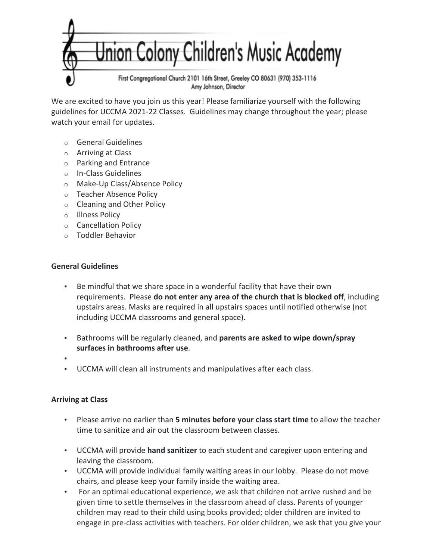

We are excited to have you join us this year! Please familiarize yourself with the following guidelines for UCCMA 2021-22 Classes. Guidelines may change throughout the year; please watch your email for updates.

- $\circ$  General Guidelines
- $\circ$  Arriving at Class
- $\circ$  Parking and Entrance
- o In-Class Guidelines
- o Make-Up Class/Absence Policy
- o Teacher Absence Policy
- $\circ$  Cleaning and Other Policy
- o Illness Policy
- o Cancellation Policy
- $\circ$  Toddler Behavior

## **General Guidelines**

- Be mindful that we share space in a wonderful facility that have their own requirements. Please **do not enter any area of the church that is blocked off**, including upstairs areas. Masks are required in all upstairs spaces until notified otherwise (not including UCCMA classrooms and general space).
- Bathrooms will be regularly cleaned, and parents are asked to wipe down/spray surfaces in bathrooms after use.
- •
- UCCMA will clean all instruments and manipulatives after each class.

## **Arriving at Class**

- Please arrive no earlier than **5 minutes before your class start time** to allow the teacher time to sanitize and air out the classroom between classes.
- UCCMA will provide **hand sanitizer** to each student and caregiver upon entering and leaving the classroom.
- UCCMA will provide individual family waiting areas in our lobby. Please do not move chairs, and please keep your family inside the waiting area.
- For an optimal educational experience, we ask that children not arrive rushed and be given time to settle themselves in the classroom ahead of class. Parents of younger children may read to their child using books provided; older children are invited to engage in pre-class activities with teachers. For older children, we ask that you give your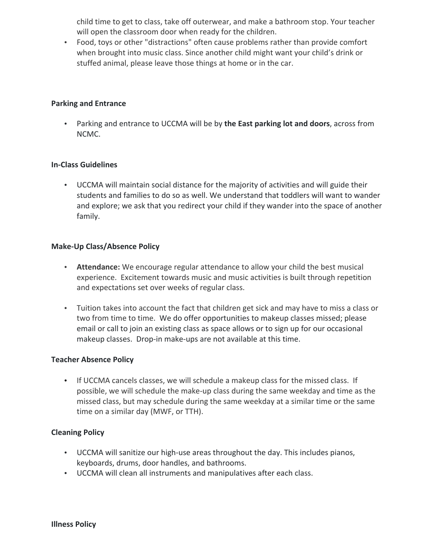child time to get to class, take off outerwear, and make a bathroom stop. Your teacher will open the classroom door when ready for the children.

• Food, toys or other "distractions" often cause problems rather than provide comfort when brought into music class. Since another child might want your child's drink or stuffed animal, please leave those things at home or in the car.

#### **Parking and Entrance**

• Parking and entrance to UCCMA will be by the East parking lot and doors, across from NCMC.

### **In-Class Guidelines**

• UCCMA will maintain social distance for the majority of activities and will guide their students and families to do so as well. We understand that toddlers will want to wander and explore; we ask that you redirect your child if they wander into the space of another family.

#### **Make-Up Class/Absence Policy**

- **Attendance:** We encourage regular attendance to allow your child the best musical experience. Excitement towards music and music activities is built through repetition and expectations set over weeks of regular class.
- Tuition takes into account the fact that children get sick and may have to miss a class or two from time to time. We do offer opportunities to makeup classes missed; please email or call to join an existing class as space allows or to sign up for our occasional makeup classes. Drop-in make-ups are not available at this time.

#### **Teacher Absence Policy**

• If UCCMA cancels classes, we will schedule a makeup class for the missed class. If possible, we will schedule the make-up class during the same weekday and time as the missed class, but may schedule during the same weekday at a similar time or the same time on a similar day (MWF, or TTH).

#### **Cleaning Policy**

- UCCMA will sanitize our high-use areas throughout the day. This includes pianos, keyboards, drums, door handles, and bathrooms.
- UCCMA will clean all instruments and manipulatives after each class.